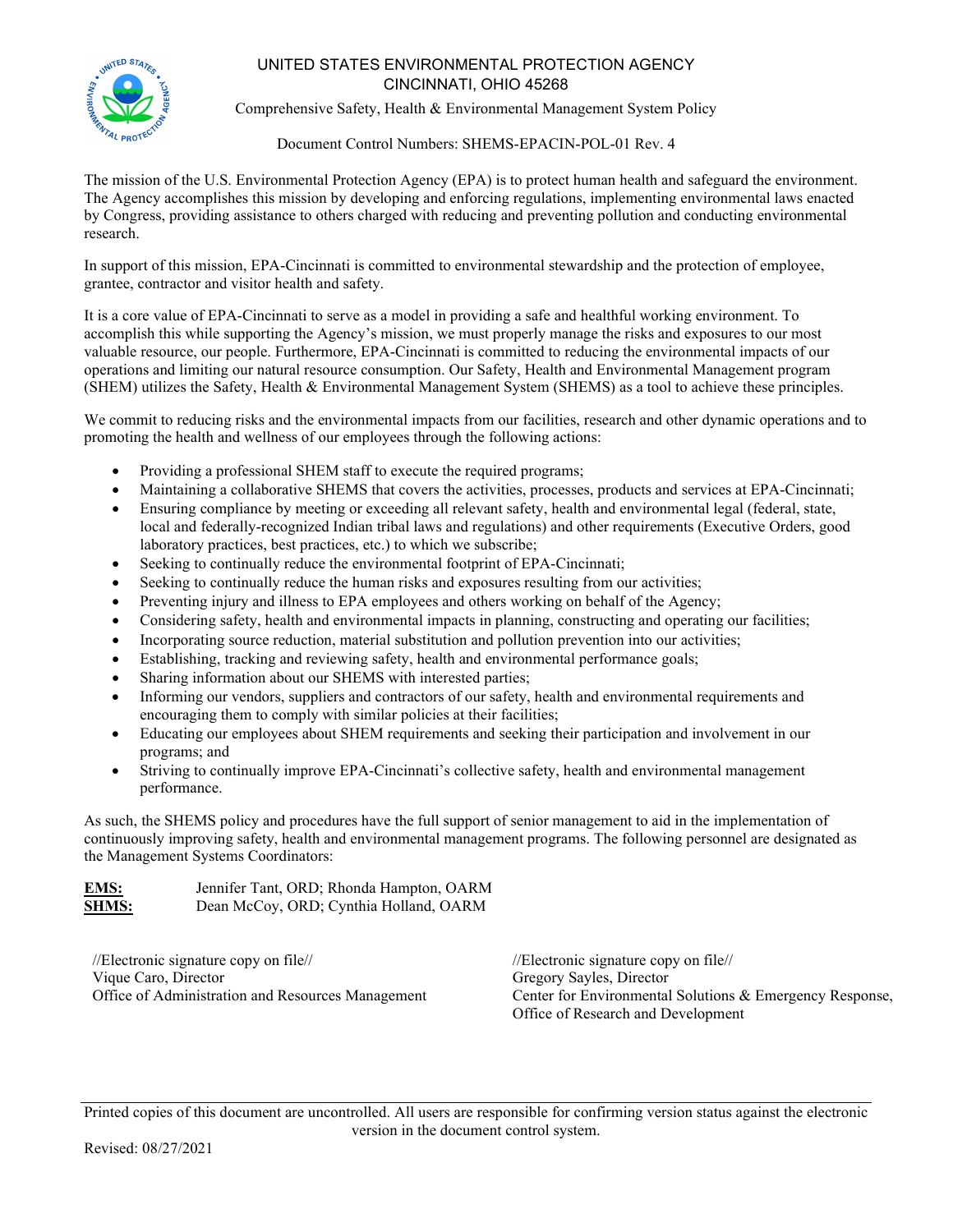

## UNITED STATES ENVIRONMENTAL PROTECTION AGENCY CINCINNATI, OHIO 45268

Comprehensive Safety, Health & Environmental Management System Policy

Document Control Numbers: SHEMS-EPACIN-POL-01 Rev. 4

The mission of the U.S. Environmental Protection Agency (EPA) is to protect human health and safeguard the environment. The Agency accomplishes this mission by developing and enforcing regulations, implementing environmental laws enacted by Congress, providing assistance to others charged with reducing and preventing pollution and conducting environmental research.

In support of this mission, EPA-Cincinnati is committed to environmental stewardship and the protection of employee, grantee, contractor and visitor health and safety.

It is a core value of EPA-Cincinnati to serve as a model in providing a safe and healthful working environment. To accomplish this while supporting the Agency's mission, we must properly manage the risks and exposures to our most valuable resource, our people. Furthermore, EPA-Cincinnati is committed to reducing the environmental impacts of our operations and limiting our natural resource consumption. Our Safety, Health and Environmental Management program (SHEM) utilizes the Safety, Health & Environmental Management System (SHEMS) as a tool to achieve these principles.

We commit to reducing risks and the environmental impacts from our facilities, research and other dynamic operations and to promoting the health and wellness of our employees through the following actions:

- Providing a professional SHEM staff to execute the required programs;
- Maintaining a collaborative SHEMS that covers the activities, processes, products and services at EPA-Cincinnati;
- Ensuring compliance by meeting or exceeding all relevant safety, health and environmental legal (federal, state, local and federally-recognized Indian tribal laws and regulations) and other requirements (Executive Orders, good laboratory practices, best practices, etc.) to which we subscribe;
- Seeking to continually reduce the environmental footprint of EPA-Cincinnati;
- Seeking to continually reduce the human risks and exposures resulting from our activities;
- Preventing injury and illness to EPA employees and others working on behalf of the Agency;
- Considering safety, health and environmental impacts in planning, constructing and operating our facilities;
- Incorporating source reduction, material substitution and pollution prevention into our activities;
- Establishing, tracking and reviewing safety, health and environmental performance goals;
- Sharing information about our SHEMS with interested parties;
- Informing our vendors, suppliers and contractors of our safety, health and environmental requirements and encouraging them to comply with similar policies at their facilities;
- Educating our employees about SHEM requirements and seeking their participation and involvement in our programs; and
- Striving to continually improve EPA-Cincinnati's collective safety, health and environmental management performance.

As such, the SHEMS policy and procedures have the full support of senior management to aid in the implementation of continuously improving safety, health and environmental management programs. The following personnel are designated as the Management Systems Coordinators:

**EMS:** Jennifer Tant, ORD; Rhonda Hampton, OARM **SHMS:** Dean McCoy, ORD; Cynthia Holland, OARM

//Electronic signature copy on file// Vique Caro, Director Office of Administration and Resources Management

//Electronic signature copy on file// Gregory Sayles, Director Center for Environmental Solutions & Emergency Response, Office of Research and Development

Printed copies of this document are uncontrolled. All users are responsible for confirming version status against the electronic version in the document control system.